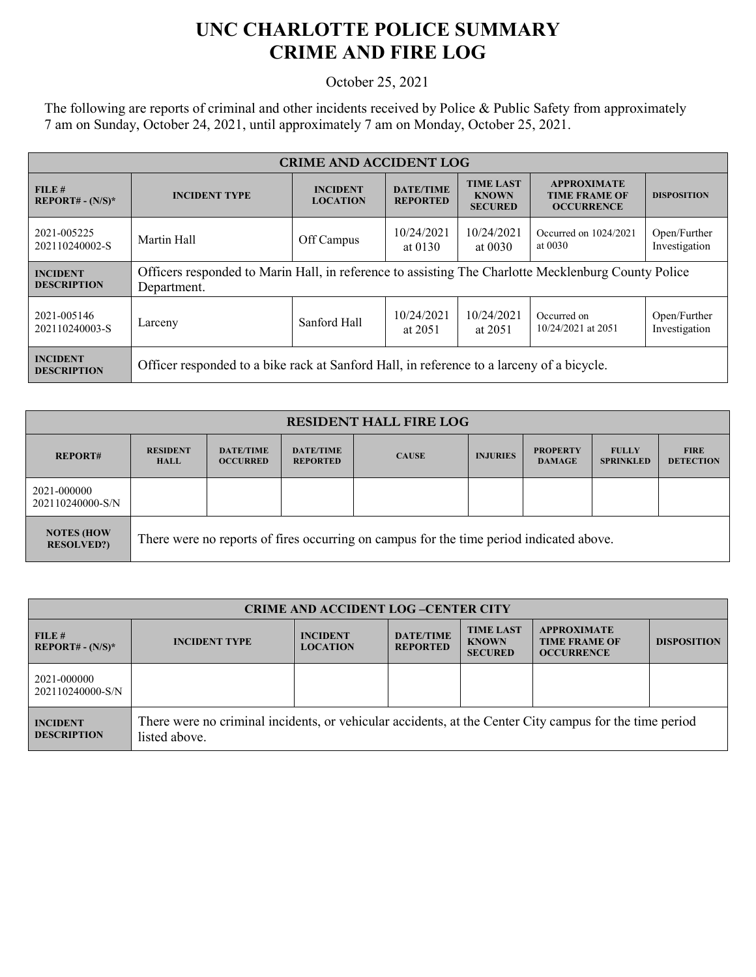## **UNC CHARLOTTE POLICE SUMMARY CRIME AND FIRE LOG**

October 25, 2021

The following are reports of criminal and other incidents received by Police & Public Safety from approximately 7 am on Sunday, October 24, 2021, until approximately 7 am on Monday, October 25, 2021.

| <b>CRIME AND ACCIDENT LOG</b>         |                                                                                                                    |                                    |                                     |                                                    |                                                                 |                               |
|---------------------------------------|--------------------------------------------------------------------------------------------------------------------|------------------------------------|-------------------------------------|----------------------------------------------------|-----------------------------------------------------------------|-------------------------------|
| FILE#<br>$REPORT# - (N/S)*$           | <b>INCIDENT TYPE</b>                                                                                               | <b>INCIDENT</b><br><b>LOCATION</b> | <b>DATE/TIME</b><br><b>REPORTED</b> | <b>TIME LAST</b><br><b>KNOWN</b><br><b>SECURED</b> | <b>APPROXIMATE</b><br><b>TIME FRAME OF</b><br><b>OCCURRENCE</b> | <b>DISPOSITION</b>            |
| 2021-005225<br>202110240002-S         | Martin Hall                                                                                                        | Off Campus                         | 10/24/2021<br>at $0130$             | 10/24/2021<br>at 0030                              | Occurred on 1024/2021<br>at $0030$                              | Open/Further<br>Investigation |
| <b>INCIDENT</b><br><b>DESCRIPTION</b> | Officers responded to Marin Hall, in reference to assisting The Charlotte Mecklenburg County Police<br>Department. |                                    |                                     |                                                    |                                                                 |                               |
| 2021-005146<br>202110240003-S         | Larceny                                                                                                            | Sanford Hall                       | 10/24/2021<br>at 2051               | 10/24/2021<br>at 2051                              | Occurred on<br>10/24/2021 at 2051                               | Open/Further<br>Investigation |
| <b>INCIDENT</b><br><b>DESCRIPTION</b> | Officer responded to a bike rack at Sanford Hall, in reference to a larceny of a bicycle.                          |                                    |                                     |                                                    |                                                                 |                               |

| <b>RESIDENT HALL FIRE LOG</b>          |                                                                                         |                                     |                                     |              |                 |                                  |                                  |                                 |
|----------------------------------------|-----------------------------------------------------------------------------------------|-------------------------------------|-------------------------------------|--------------|-----------------|----------------------------------|----------------------------------|---------------------------------|
| <b>REPORT#</b>                         | <b>RESIDENT</b><br><b>HALL</b>                                                          | <b>DATE/TIME</b><br><b>OCCURRED</b> | <b>DATE/TIME</b><br><b>REPORTED</b> | <b>CAUSE</b> | <b>INJURIES</b> | <b>PROPERTY</b><br><b>DAMAGE</b> | <b>FULLY</b><br><b>SPRINKLED</b> | <b>FIRE</b><br><b>DETECTION</b> |
| 2021-000000<br>202110240000-S/N        |                                                                                         |                                     |                                     |              |                 |                                  |                                  |                                 |
| <b>NOTES (HOW</b><br><b>RESOLVED?)</b> | There were no reports of fires occurring on campus for the time period indicated above. |                                     |                                     |              |                 |                                  |                                  |                                 |

| <b>CRIME AND ACCIDENT LOG-CENTER CITY</b> |                                                                                                                          |                                    |                                     |                                                    |                                                                 |                    |  |
|-------------------------------------------|--------------------------------------------------------------------------------------------------------------------------|------------------------------------|-------------------------------------|----------------------------------------------------|-----------------------------------------------------------------|--------------------|--|
| FILE#<br>$REPORT# - (N/S)*$               | <b>INCIDENT TYPE</b>                                                                                                     | <b>INCIDENT</b><br><b>LOCATION</b> | <b>DATE/TIME</b><br><b>REPORTED</b> | <b>TIME LAST</b><br><b>KNOWN</b><br><b>SECURED</b> | <b>APPROXIMATE</b><br><b>TIME FRAME OF</b><br><b>OCCURRENCE</b> | <b>DISPOSITION</b> |  |
| 2021-000000<br>202110240000-S/N           |                                                                                                                          |                                    |                                     |                                                    |                                                                 |                    |  |
| <b>INCIDENT</b><br><b>DESCRIPTION</b>     | There were no criminal incidents, or vehicular accidents, at the Center City campus for the time period<br>listed above. |                                    |                                     |                                                    |                                                                 |                    |  |